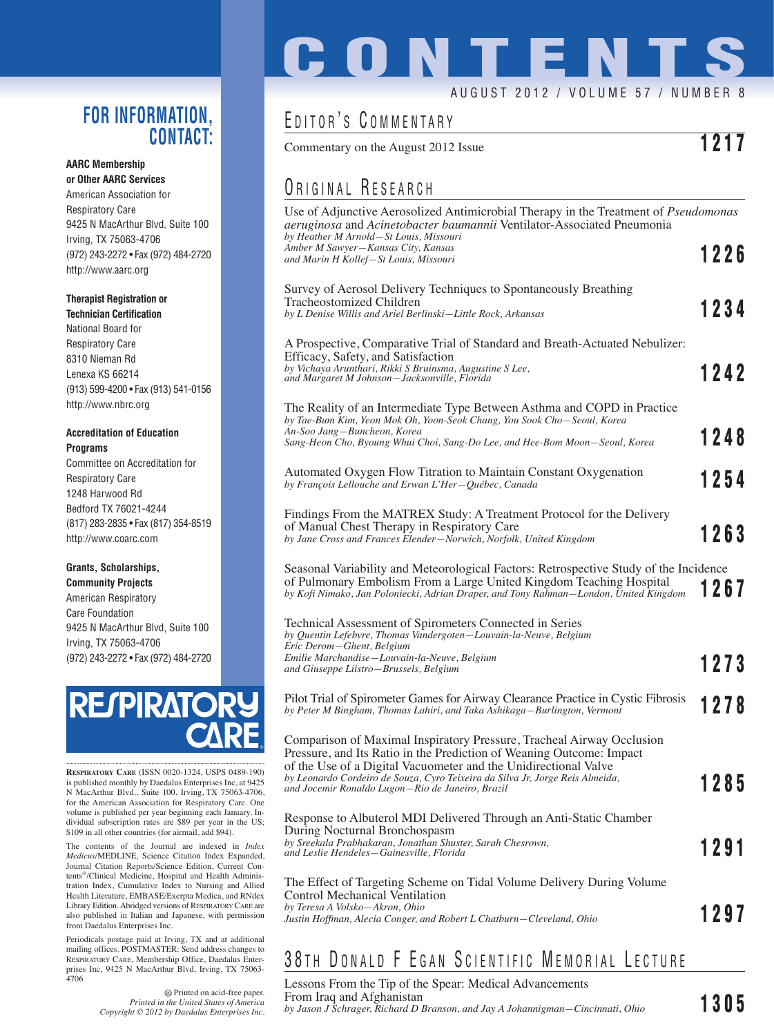### **FOR INFORMATION, CONTACT:**

#### **AARC Membership or Other AARC Services**

American Association for Respiratory Care 9425 N MacArthur Blvd, Suite 100 Irving, TX 75063-4706 (972) 243-2272 • Fax (972) 484-2720 http://www.aarc.org

#### **Therapist Registration or**

**Technician Certification** National Board for Respiratory Care 8310 Nieman Rd Lenexa KS 66214 (913) 599-4200 • Fax (913) 541-0156 http://www.nbrc.org

#### **Accreditation of Education Programs**

Committee on Accreditation for Respiratory Care 1248 Harwood Rd Bedford TX 76021-4244 (817) 283-2835 • Fax (817) 354-8519 http://www.coarc.com

#### **Grants, Scholarships, Community Projects**

American Respiratory Care Foundation 9425 N MacArthur Blvd, Suite 100 Irving, TX 75063-4706 (972) 243-2272 • Fax (972) 484-2720



**RESPIRATORY CARE** (ISSN 0020-1324, USPS 0489-190) is published monthly by Daedalus Enterprises Inc, at 9425 N MacArthur Blvd., Suite 100, Irving, TX 75063-4706, for the American Association for Respiratory Care. One volume is published per year beginning each January. Individual subscription rates are \$89 per year in the US; \$109 in all other countries (for airmail, add \$94).

The contents of the Journal are indexed in *Index Medicus*/MEDLINE, Science Citation Index Expanded, Journal Citation Reports/Science Edition, Current Contents®/Clinical Medicine, Hospital and Health Administration Index, Cumulative Index to Nursing and Allied Health Literature, EMBASE/Exerpta Medica, and RNdex Library Edition. Abridged versions of RESPIRATORY CARE are also published in Italian and Japanese, with permission from Daedalus Enterprises Inc.

Periodicals postage paid at Irving, TX and at additional mailing offices. POSTMASTER: Send address changes to RESPIRATORY CARE, Membership Office, Daedalus Enterprises Inc, 9425 N MacArthur Blvd, Irving, TX 75063- 4706

> Printed on acid-free paper. *Printed in the United States of America Copyright © 2012 by Daedalus Enterprises Inc.*

# **CONTENTS** AUGUST 2012 / VOLUME 57 / NUMBER 8

## EDITOR'S COMMENTARY

Commentary on the August 2012 Issue **1217**

## ORIGINAL RESEARCH

| Use of Adjunctive Aerosolized Antimicrobial Therapy in the Treatment of <i>Pseudomonas</i><br>aeruginosa and Acinetobacter baumannii Ventilator-Associated Pneumonia<br>by Heather M Arnold—St Louis, Missouri                                                                                                                                        |      |
|-------------------------------------------------------------------------------------------------------------------------------------------------------------------------------------------------------------------------------------------------------------------------------------------------------------------------------------------------------|------|
| Amber M Sawyer–Kansas City, Kansas<br>and Marin H Kollef—St Louis, Missouri                                                                                                                                                                                                                                                                           | 1226 |
| Survey of Aerosol Delivery Techniques to Spontaneously Breathing<br>Tracheostomized Children<br>by L Denise Willis and Ariel Berlinski–Little Rock, Arkansas                                                                                                                                                                                          | 1234 |
| A Prospective, Comparative Trial of Standard and Breath-Actuated Nebulizer:<br>Efficacy, Safety, and Satisfaction<br>by Vichaya Arunthari, Rikki S Bruinsma, Augustine S Lee,<br>and Margaret M Johnson—Jacksonville, Florida                                                                                                                         | 1242 |
| The Reality of an Intermediate Type Between Asthma and COPD in Practice<br>by Tae-Bum Kim, Yeon Mok Oh, Yoon-Seok Chang, You Sook Cho–Seoul, Korea<br>An-Soo Jang—Buncheon, Korea<br>Sang-Heon Cho, Byoung Whui Choi, Sang-Do Lee, and Hee-Bom Moon–Seoul, Korea                                                                                      | 1248 |
| Automated Oxygen Flow Titration to Maintain Constant Oxygenation<br>by François Lellouche and Erwan L'Her-Québec, Canada                                                                                                                                                                                                                              | 1254 |
| Findings From the MATREX Study: A Treatment Protocol for the Delivery<br>of Manual Chest Therapy in Respiratory Care<br>by Jane Cross and Frances Elender—Norwich, Norfolk, United Kingdom                                                                                                                                                            | 1263 |
| Seasonal Variability and Meteorological Factors: Retrospective Study of the Incidence<br>of Pulmonary Embolism From a Large United Kingdom Teaching Hospital<br>by Kofi Nimako, Jan Poloniecki, Adrian Draper, and Tony Rahman–London, United Kingdom                                                                                                 | 1267 |
| Technical Assessment of Spirometers Connected in Series<br>by Quentin Lefebvre, Thomas Vandergoten-Louvain-la-Neuve, Belgium<br>Eric Derom-Ghent, Belgium                                                                                                                                                                                             |      |
| Emilie Marchandise—Louvain-la-Neuve, Belgium<br>and Giuseppe Liistro—Brussels, Belgium                                                                                                                                                                                                                                                                | 1273 |
| Pilot Trial of Spirometer Games for Airway Clearance Practice in Cystic Fibrosis<br>by Peter M Bingham, Thomas Lahiri, and Taka Ashikaga-Burlington, Vermont                                                                                                                                                                                          | 1278 |
| Comparison of Maximal Inspiratory Pressure, Tracheal Airway Occlusion<br>Pressure, and Its Ratio in the Prediction of Weaning Outcome: Impact<br>of the Use of a Digital Vacuometer and the Unidirectional Valve<br>by Leonardo Cordeiro de Souza, Cyro Teixeira da Silva Jr, Jorge Reis Almeida,<br>and Jocemir Ronaldo Lugon-Rio de Janeiro, Brazil | 1285 |
| Response to Albuterol MDI Delivered Through an Anti-Static Chamber<br>During Nocturnal Bronchospasm<br>by Sreekala Prabhakaran, Jonathan Shuster, Sarah Chesrown,<br>and Leslie Hendeles—Gainesville, Florida                                                                                                                                         | 1291 |
| The Effect of Targeting Scheme on Tidal Volume Delivery During Volume<br><b>Control Mechanical Ventilation</b><br>by Teresa A Volsko-Akron, Ohio<br>Justin Hoffman, Alecia Conger, and Robert L Chatburn—Cleveland, Ohio                                                                                                                              | 1297 |
|                                                                                                                                                                                                                                                                                                                                                       |      |

# 38TH DONALD F EGAN SCIENTIFIC MEMORIAL LECTURE

Lessons From the Tip of the Spear: Medical Advancements From Iraq and Afghanistan *by Jason J Schrager, Richard D Branson, and Jay A Johannigman—Cincinnati, Ohio* **1305**